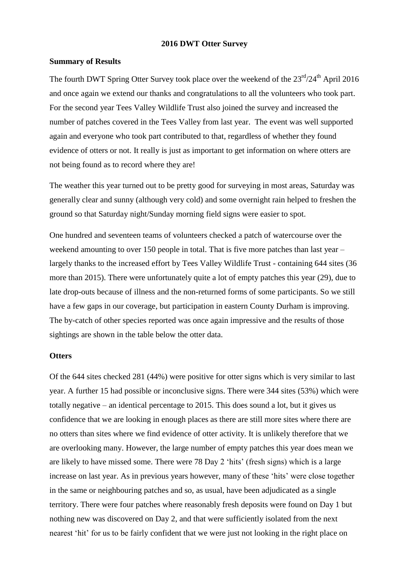#### **2016 DWT Otter Survey**

#### **Summary of Results**

The fourth DWT Spring Otter Survey took place over the weekend of the  $23^{\text{rd}}/24^{\text{th}}$  April 2016 and once again we extend our thanks and congratulations to all the volunteers who took part. For the second year Tees Valley Wildlife Trust also joined the survey and increased the number of patches covered in the Tees Valley from last year. The event was well supported again and everyone who took part contributed to that, regardless of whether they found evidence of otters or not. It really is just as important to get information on where otters are not being found as to record where they are!

The weather this year turned out to be pretty good for surveying in most areas, Saturday was generally clear and sunny (although very cold) and some overnight rain helped to freshen the ground so that Saturday night/Sunday morning field signs were easier to spot.

One hundred and seventeen teams of volunteers checked a patch of watercourse over the weekend amounting to over 150 people in total. That is five more patches than last year – largely thanks to the increased effort by Tees Valley Wildlife Trust - containing 644 sites (36 more than 2015). There were unfortunately quite a lot of empty patches this year (29), due to late drop-outs because of illness and the non-returned forms of some participants. So we still have a few gaps in our coverage, but participation in eastern County Durham is improving. The by-catch of other species reported was once again impressive and the results of those sightings are shown in the table below the otter data.

### **Otters**

Of the 644 sites checked 281 (44%) were positive for otter signs which is very similar to last year. A further 15 had possible or inconclusive signs. There were 344 sites (53%) which were totally negative – an identical percentage to 2015. This does sound a lot, but it gives us confidence that we are looking in enough places as there are still more sites where there are no otters than sites where we find evidence of otter activity. It is unlikely therefore that we are overlooking many. However, the large number of empty patches this year does mean we are likely to have missed some. There were 78 Day 2 'hits' (fresh signs) which is a large increase on last year. As in previous years however, many of these 'hits' were close together in the same or neighbouring patches and so, as usual, have been adjudicated as a single territory. There were four patches where reasonably fresh deposits were found on Day 1 but nothing new was discovered on Day 2, and that were sufficiently isolated from the next nearest 'hit' for us to be fairly confident that we were just not looking in the right place on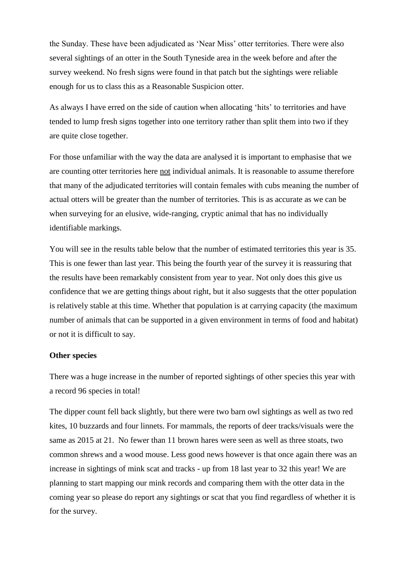the Sunday. These have been adjudicated as 'Near Miss' otter territories. There were also several sightings of an otter in the South Tyneside area in the week before and after the survey weekend. No fresh signs were found in that patch but the sightings were reliable enough for us to class this as a Reasonable Suspicion otter.

As always I have erred on the side of caution when allocating 'hits' to territories and have tended to lump fresh signs together into one territory rather than split them into two if they are quite close together.

For those unfamiliar with the way the data are analysed it is important to emphasise that we are counting otter territories here not individual animals. It is reasonable to assume therefore that many of the adjudicated territories will contain females with cubs meaning the number of actual otters will be greater than the number of territories. This is as accurate as we can be when surveying for an elusive, wide-ranging, cryptic animal that has no individually identifiable markings.

You will see in the results table below that the number of estimated territories this year is 35. This is one fewer than last year. This being the fourth year of the survey it is reassuring that the results have been remarkably consistent from year to year. Not only does this give us confidence that we are getting things about right, but it also suggests that the otter population is relatively stable at this time. Whether that population is at carrying capacity (the maximum number of animals that can be supported in a given environment in terms of food and habitat) or not it is difficult to say.

### **Other species**

There was a huge increase in the number of reported sightings of other species this year with a record 96 species in total!

The dipper count fell back slightly, but there were two barn owl sightings as well as two red kites, 10 buzzards and four linnets. For mammals, the reports of deer tracks/visuals were the same as 2015 at 21. No fewer than 11 brown hares were seen as well as three stoats, two common shrews and a wood mouse. Less good news however is that once again there was an increase in sightings of mink scat and tracks - up from 18 last year to 32 this year! We are planning to start mapping our mink records and comparing them with the otter data in the coming year so please do report any sightings or scat that you find regardless of whether it is for the survey.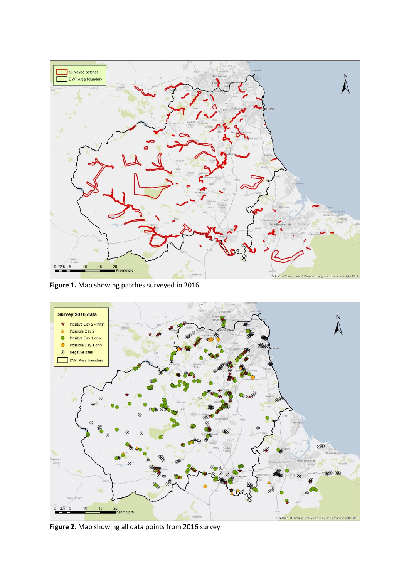

**Figure 1.** Map showing patches surveyed in 2016



**Figure 2.** Map showing all data points from 2016 survey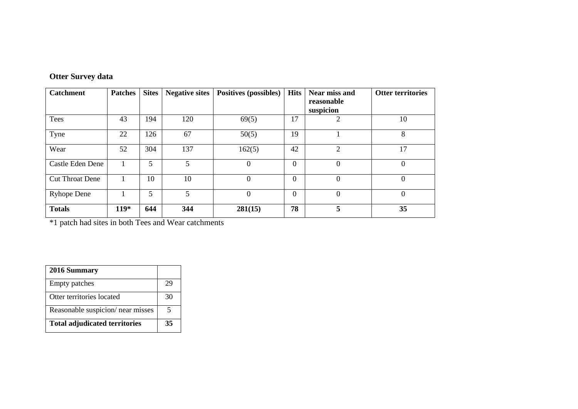# **Otter Survey data**

| <b>Catchment</b>       | <b>Patches</b> | <b>Sites</b> | <b>Negative sites</b> | <b>Positives (possibles)</b> | <b>Hits</b>    | Near miss and<br>reasonable<br>suspicion | <b>Otter territories</b> |
|------------------------|----------------|--------------|-----------------------|------------------------------|----------------|------------------------------------------|--------------------------|
| Tees                   | 43             | 194          | 120                   | 69(5)                        | 17             | 2                                        | 10                       |
| Tyne                   | 22             | 126          | 67                    | 50(5)                        | 19             |                                          | 8                        |
| Wear                   | 52             | 304          | 137                   | 162(5)                       | 42             | $\overline{2}$                           | 17                       |
| Castle Eden Dene       |                | 5            | 5                     | 0                            | $\overline{0}$ | $\theta$                                 | $\theta$                 |
| <b>Cut Throat Dene</b> |                | 10           | 10                    | 0                            | $\overline{0}$ | $\overline{0}$                           | $\Omega$                 |
| <b>Ryhope Dene</b>     |                | 5            | 5 <sup>5</sup>        | 0                            | $\overline{0}$ | $\overline{0}$                           | $\theta$                 |
| <b>Totals</b>          | $119*$         | 644          | 344                   | 281(15)                      | 78             | 5                                        | 35                       |

\*1 patch had sites in both Tees and Wear catchments

| 2016 Summary                         |    |
|--------------------------------------|----|
| <b>Empty patches</b>                 | 29 |
| Otter territories located            | 30 |
| Reasonable suspicion/ near misses    | 5  |
| <b>Total adjudicated territories</b> | 35 |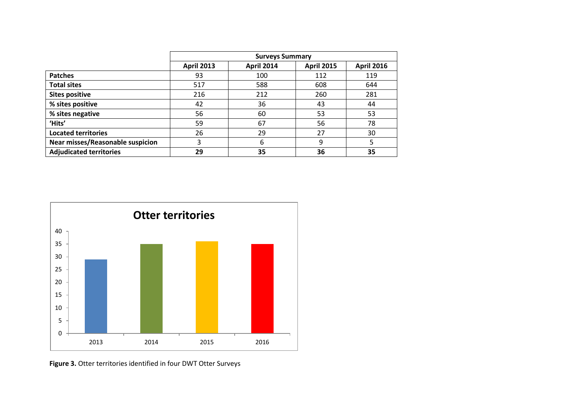|                                         | <b>Surveys Summary</b> |                   |                   |                   |
|-----------------------------------------|------------------------|-------------------|-------------------|-------------------|
|                                         | <b>April 2013</b>      | <b>April 2014</b> | <b>April 2015</b> | <b>April 2016</b> |
| <b>Patches</b>                          | 93                     | 100               | 112               | 119               |
| <b>Total sites</b>                      | 517                    | 588               | 608               | 644               |
| <b>Sites positive</b>                   | 216                    | 212               | 260               | 281               |
| % sites positive                        | 42                     | 36                | 43                | 44                |
| % sites negative                        | 56                     | 60                | 53                | 53                |
| 'Hits'                                  | 59                     | 67                | 56                | 78                |
| <b>Located territories</b>              | 26                     | 29                | 27                | 30                |
| <b>Near misses/Reasonable suspicion</b> | 3                      | 6                 | 9                 | 5                 |
| <b>Adjudicated territories</b>          | 29                     | 35                | 36                | 35                |



**Figure 3.** Otter territories identified in four DWT Otter Surveys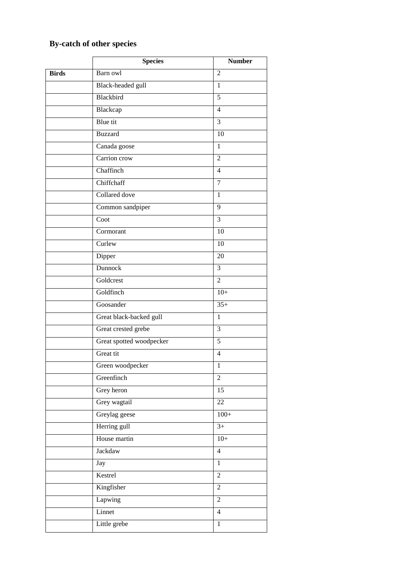# **By-catch of other species**

|              | <b>Species</b>           | <b>Number</b>   |
|--------------|--------------------------|-----------------|
| <b>Birds</b> | Barn owl                 | $\overline{2}$  |
|              | Black-headed gull        | 1               |
|              | Blackbird                | 5               |
|              | Blackcap                 | $\overline{4}$  |
|              | Blue tit                 | $\overline{3}$  |
|              | <b>Buzzard</b>           | 10              |
|              | Canada goose             | $\mathbf{1}$    |
|              | Carrion crow             | $\overline{2}$  |
|              | Chaffinch                | $\overline{4}$  |
|              | Chiffchaff               | $\tau$          |
|              | Collared dove            | 1               |
|              | Common sandpiper         | 9               |
|              | Coot                     | $\overline{3}$  |
|              | Cormorant                | 10              |
|              | Curlew                   | 10              |
|              | Dipper                   | $\overline{20}$ |
|              | Dunnock                  | 3               |
|              | Goldcrest                | $\overline{2}$  |
|              | Goldfinch                | $10+$           |
|              | Goosander                | $35+$           |
|              | Great black-backed gull  | $\mathbf{1}$    |
|              | Great crested grebe      | $\overline{3}$  |
|              | Great spotted woodpecker | 5               |
|              | Great tit                | $\overline{4}$  |
|              | Green woodpecker         | 1               |
|              | Greenfinch               | $\overline{2}$  |
|              | Grey heron               | 15              |
|              | Grey wagtail             | 22              |
|              | Greylag geese            | $100+$          |
|              | Herring gull             | $3^{+}$         |
|              | House martin             | $10+$           |
|              | Jackdaw                  | $\overline{4}$  |
|              | Jay                      | $\mathbf{1}$    |
|              | Kestrel                  | $\overline{2}$  |
|              | Kingfisher               | $\overline{2}$  |
|              | Lapwing                  | $\overline{2}$  |
|              | Linnet                   | $\overline{4}$  |
|              | Little grebe             | $\mathbf{1}$    |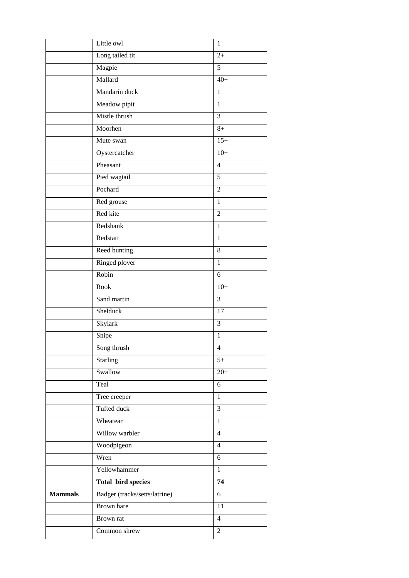|                | Little owl                    | $\mathbf{1}$   |
|----------------|-------------------------------|----------------|
|                | Long tailed tit               | $2+$           |
|                | Magpie                        | $\overline{5}$ |
|                | Mallard                       | $40+$          |
|                | Mandarin duck                 | 1              |
|                | Meadow pipit                  | $\mathbf{1}$   |
|                | Mistle thrush                 | 3              |
|                | Moorhen                       | $8+$           |
|                | Mute swan                     | $15+$          |
|                | Oystercatcher                 | $10+$          |
|                | Pheasant                      | $\overline{4}$ |
|                | Pied wagtail                  | 5              |
|                | Pochard                       | $\overline{2}$ |
|                | Red grouse                    | $\mathbf{1}$   |
|                | Red kite                      | $\overline{2}$ |
|                | Redshank                      | $\mathbf{1}$   |
|                | Redstart                      | $\mathbf{1}$   |
|                | Reed bunting                  | 8              |
|                | Ringed plover                 | $\mathbf{1}$   |
|                | Robin                         | 6              |
|                | Rook                          | $10+$          |
|                | Sand martin                   | 3              |
|                | Shelduck                      | 17             |
|                | Skylark                       | 3              |
|                | Snipe                         | $\mathbf{1}$   |
|                | Song thrush                   | 4              |
|                | <b>Starling</b>               | $5+$           |
|                | Swallow                       | $20+$          |
|                | Teal                          | 6              |
|                | Tree creeper                  | $\mathbf{1}$   |
|                | Tufted duck                   | 3              |
|                | Wheatear                      | $\mathbf{1}$   |
|                | Willow warbler                | $\overline{4}$ |
|                | Woodpigeon                    | $\overline{4}$ |
|                | Wren                          | 6              |
|                | Yellowhammer                  | $\mathbf{1}$   |
|                | <b>Total bird species</b>     | 74             |
| <b>Mammals</b> | Badger (tracks/setts/latrine) | 6              |
|                | <b>Brown</b> hare             | 11             |
|                | Brown rat                     | $\overline{4}$ |
|                | Common shrew                  | $\overline{2}$ |